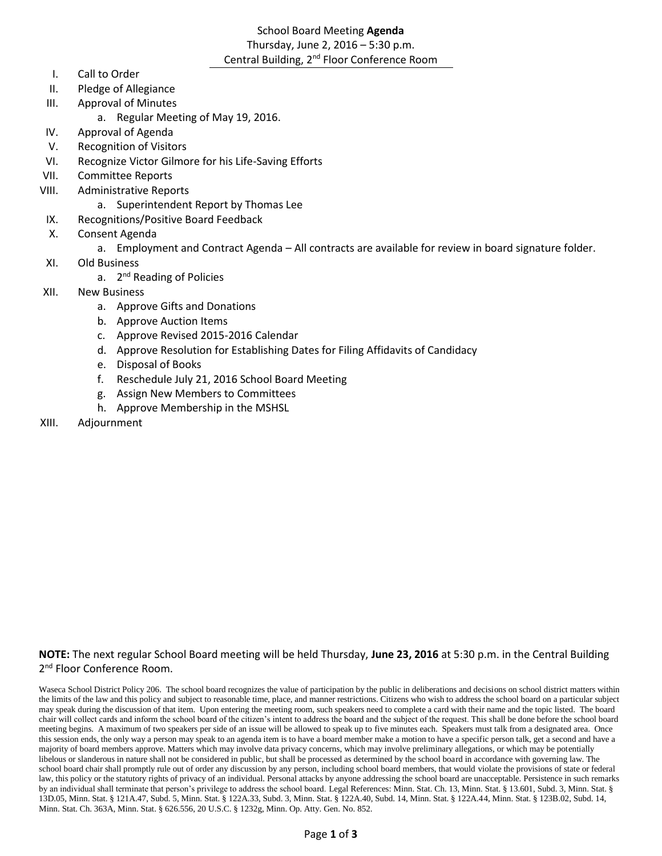# School Board Meeting **Agenda** Thursday, June 2, 2016 – 5:30 p.m. Central Building, 2<sup>nd</sup> Floor Conference Room

- I. Call to Order
- II. Pledge of Allegiance
- III. Approval of Minutes
	- a. Regular Meeting of May 19, 2016.
- IV. Approval of Agenda
- V. Recognition of Visitors
- VI. Recognize Victor Gilmore for his Life-Saving Efforts
- VII. Committee Reports
- VIII. Administrative Reports
	- a. Superintendent Report by Thomas Lee
- IX. Recognitions/Positive Board Feedback
- X. Consent Agenda
	- a. Employment and Contract Agenda All contracts are available for review in board signature folder.
- XI. Old Business
	- a. 2<sup>nd</sup> Reading of Policies
- XII. New Business
	- a. Approve Gifts and Donations
	- b. Approve Auction Items
	- c. Approve Revised 2015-2016 Calendar
	- d. Approve Resolution for Establishing Dates for Filing Affidavits of Candidacy
	- e. Disposal of Books
	- f. Reschedule July 21, 2016 School Board Meeting
	- g. Assign New Members to Committees
	- h. Approve Membership in the MSHSL
- XIII. Adjournment

# **NOTE:** The next regular School Board meeting will be held Thursday, **June 23, 2016** at 5:30 p.m. in the Central Building 2<sup>nd</sup> Floor Conference Room.

Waseca School District Policy 206. The school board recognizes the value of participation by the public in deliberations and decisions on school district matters within the limits of the law and this policy and subject to reasonable time, place, and manner restrictions. Citizens who wish to address the school board on a particular subject may speak during the discussion of that item. Upon entering the meeting room, such speakers need to complete a card with their name and the topic listed. The board chair will collect cards and inform the school board of the citizen's intent to address the board and the subject of the request. This shall be done before the school board meeting begins. A maximum of two speakers per side of an issue will be allowed to speak up to five minutes each. Speakers must talk from a designated area. Once this session ends, the only way a person may speak to an agenda item is to have a board member make a motion to have a specific person talk, get a second and have a majority of board members approve. Matters which may involve data privacy concerns, which may involve preliminary allegations, or which may be potentially libelous or slanderous in nature shall not be considered in public, but shall be processed as determined by the school board in accordance with governing law. The school board chair shall promptly rule out of order any discussion by any person, including school board members, that would violate the provisions of state or federal law, this policy or the statutory rights of privacy of an individual. Personal attacks by anyone addressing the school board are unacceptable. Persistence in such remarks by an individual shall terminate that person's privilege to address the school board. Legal References: Minn. Stat. Ch. 13, Minn. Stat. § 13.601, Subd. 3, Minn. Stat. § 13D.05, Minn. Stat. § 121A.47, Subd. 5, Minn. Stat. § 122A.33, Subd. 3, Minn. Stat. § 122A.40, Subd. 14, Minn. Stat. § 122A.44, Minn. Stat. § 123B.02, Subd. 14, Minn. Stat. Ch. 363A, Minn. Stat. § 626.556, 20 U.S.C. § 1232g, Minn. Op. Atty. Gen. No. 852.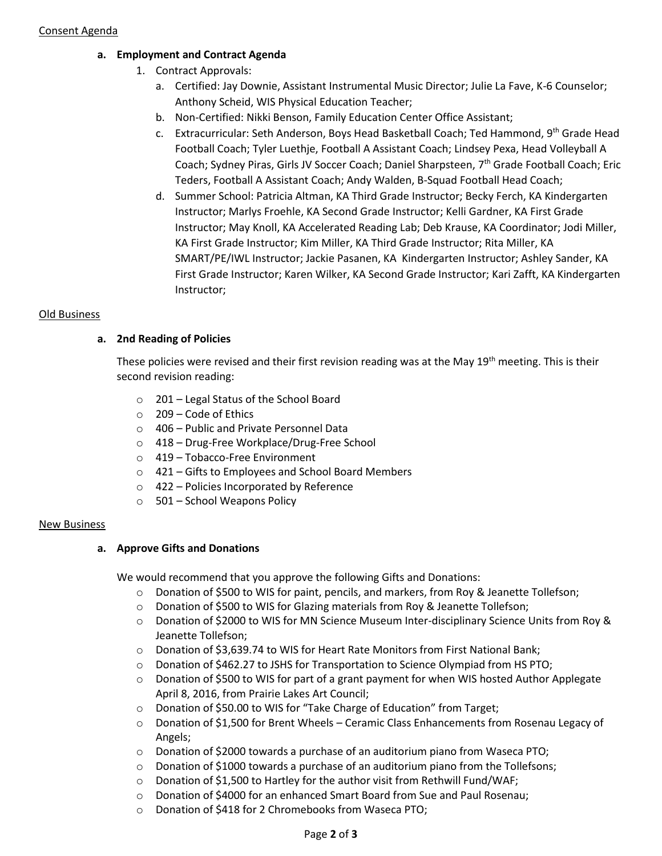## **a. Employment and Contract Agenda**

- 1. Contract Approvals:
	- a. Certified: Jay Downie, Assistant Instrumental Music Director; Julie La Fave, K-6 Counselor; Anthony Scheid, WIS Physical Education Teacher;
	- b. Non-Certified: Nikki Benson, Family Education Center Office Assistant;
	- c. Extracurricular: Seth Anderson, Boys Head Basketball Coach; Ted Hammond, 9<sup>th</sup> Grade Head Football Coach; Tyler Luethje, Football A Assistant Coach; Lindsey Pexa, Head Volleyball A Coach; Sydney Piras, Girls JV Soccer Coach; Daniel Sharpsteen, 7<sup>th</sup> Grade Football Coach; Eric Teders, Football A Assistant Coach; Andy Walden, B-Squad Football Head Coach;
	- d. Summer School: Patricia Altman, KA Third Grade Instructor; Becky Ferch, KA Kindergarten Instructor; Marlys Froehle, KA Second Grade Instructor; Kelli Gardner, KA First Grade Instructor; May Knoll, KA Accelerated Reading Lab; Deb Krause, KA Coordinator; Jodi Miller, KA First Grade Instructor; Kim Miller, KA Third Grade Instructor; Rita Miller, KA SMART/PE/IWL Instructor; Jackie Pasanen, KA Kindergarten Instructor; Ashley Sander, KA First Grade Instructor; Karen Wilker, KA Second Grade Instructor; Kari Zafft, KA Kindergarten Instructor;

# Old Business

# **a. 2nd Reading of Policies**

These policies were revised and their first revision reading was at the May 19<sup>th</sup> meeting. This is their second revision reading:

- o 201 Legal Status of the School Board
- o 209 Code of Ethics
- o 406 Public and Private Personnel Data
- o 418 Drug-Free Workplace/Drug-Free School
- o 419 Tobacco-Free Environment
- o 421 Gifts to Employees and School Board Members
- o 422 Policies Incorporated by Reference
- o 501 School Weapons Policy

## New Business

## **a. Approve Gifts and Donations**

We would recommend that you approve the following Gifts and Donations:

- o Donation of \$500 to WIS for paint, pencils, and markers, from Roy & Jeanette Tollefson;
- o Donation of \$500 to WIS for Glazing materials from Roy & Jeanette Tollefson;
- o Donation of \$2000 to WIS for MN Science Museum Inter-disciplinary Science Units from Roy & Jeanette Tollefson;
- o Donation of \$3,639.74 to WIS for Heart Rate Monitors from First National Bank;
- o Donation of \$462.27 to JSHS for Transportation to Science Olympiad from HS PTO;
- o Donation of \$500 to WIS for part of a grant payment for when WIS hosted Author Applegate April 8, 2016, from Prairie Lakes Art Council;
- o Donation of \$50.00 to WIS for "Take Charge of Education" from Target;
- o Donation of \$1,500 for Brent Wheels Ceramic Class Enhancements from Rosenau Legacy of Angels;
- $\circ$  Donation of \$2000 towards a purchase of an auditorium piano from Waseca PTO;
- $\circ$  Donation of \$1000 towards a purchase of an auditorium piano from the Tollefsons;
- $\circ$  Donation of \$1,500 to Hartley for the author visit from Rethwill Fund/WAF;
- o Donation of \$4000 for an enhanced Smart Board from Sue and Paul Rosenau;
- o Donation of \$418 for 2 Chromebooks from Waseca PTO;